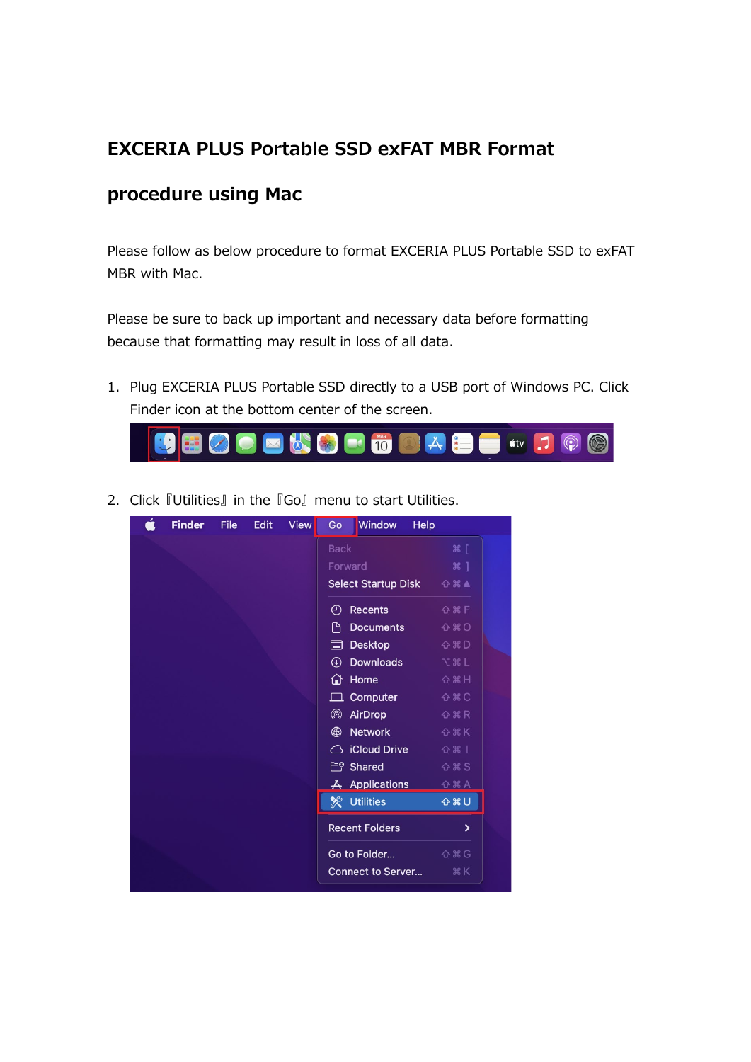## **EXCERIA PLUS Portable SSD exFAT MBR Format**

## **procedure using Mac**

Please follow as below procedure to format EXCERIA PLUS Portable SSD to exFAT MBR with Mac.

Please be sure to back up important and necessary data before formatting because that formatting may result in loss of all data.

1. Plug EXCERIA PLUS Portable SSD directly to a USB port of Windows PC. Click Finder icon at the bottom center of the screen.



2. Click 『Utilities』 in the 『Go』 menu to start Utilities.

| <b>Finder</b> | File | <b>Edit</b> | <b>View</b> | Go            | <b>Window</b>              | <b>Help</b>        |
|---------------|------|-------------|-------------|---------------|----------------------------|--------------------|
|               |      |             |             | <b>Back</b>   |                            | 3៩ [               |
|               |      |             |             | Forward       |                            | #1                 |
|               |      |             |             |               | <b>Select Startup Disk</b> | ☆米▲                |
|               |      |             |             | ⊕             | <b>Recents</b>             | <b>☆ % F</b>       |
|               |      |             |             | Μ             | <b>Documents</b>           | $Q$ $*$ $Q$        |
|               |      |             |             | 匚             | <b>Desktop</b>             | <b>☆ *D</b>        |
|               |      |             |             | $\circledast$ | <b>Downloads</b>           | <b>V</b> & L       |
|               |      |             |             | ∩             | Home                       | <b>☆ 3€ H</b>      |
|               |      |             |             |               | Computer                   | $O$ $*$ $C$        |
|               |      |             |             | @             | AirDrop                    | <b>☆ % R</b>       |
|               |      |             |             | ⊕             | <b>Network</b>             | <b>☆ % K</b>       |
|               |      |             |             | ⌒             | <b>iCloud Drive</b>        | $0$ $\frac{1}{2}$  |
|               |      |             |             |               | $E^{\theta}$ Shared        | $O$ $*$ $S$        |
|               |      |             |             |               | <b>人 Applications</b>      | G <sub>HA</sub>    |
|               |      |             |             |               | <b>X</b> Utilities         | <b>心器U</b>         |
|               |      |             |             |               | <b>Recent Folders</b>      | $\mathbf{\lambda}$ |
|               |      |             |             |               | Go to Folder               | <b>☆ % G</b>       |
|               |      |             |             |               | <b>Connect to Server</b>   | <b>HK</b>          |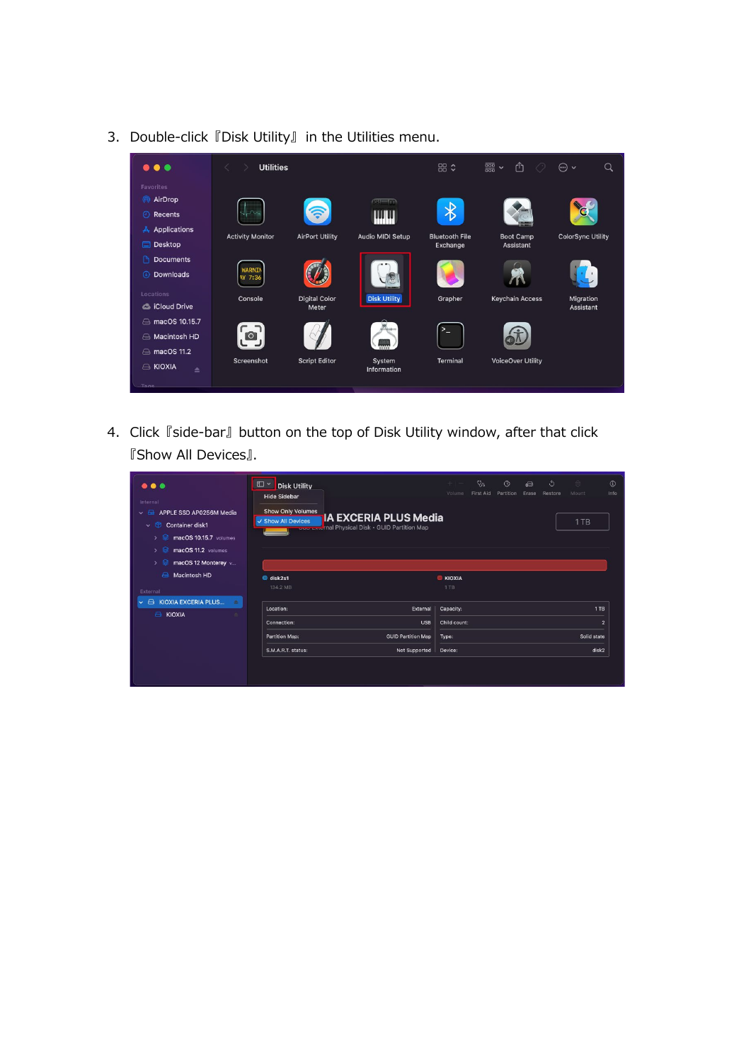

3. Double-click 『Disk Utility』 in the Utilities menu.

4. Click 『side-bar』 button on the top of Disk Utility window, after that click 『Show All Devices』.

| $\bullet\bullet\bullet$<br>Internal<br>APPLE SSD AP0256M Media<br>$\sim$ $\sim$<br>$\sim$ $\circledcirc$<br>Container disk1<br>macOS 10.15.7 volumes<br>∙<br>$\rightarrow$<br>macOS 11.2 volumes<br>$\rightarrow$<br>macOS 12 Monterey v<br>$\rightarrow$ | $\square$ $\sim$<br><b>Disk Utility</b><br><b>Hide Sidebar</b><br><b>Show Only Volumes</b><br><b>IA EXCERIA PLUS Media</b><br>√ Show All Devices<br><b>CODITION</b> That Physical Disk . GUID Partition Map |                           |                        | $Q_{\alpha}$<br>$\circ$<br>$+ -$<br>First Aid<br>Partition<br>Volume<br>Erase |  |  | $\circ$<br>Restore | 言<br>Mount<br>1TB | $\odot$<br>Info |
|-----------------------------------------------------------------------------------------------------------------------------------------------------------------------------------------------------------------------------------------------------------|-------------------------------------------------------------------------------------------------------------------------------------------------------------------------------------------------------------|---------------------------|------------------------|-------------------------------------------------------------------------------|--|--|--------------------|-------------------|-----------------|
| Macintosh HD<br>$\curvearrowright$<br>External                                                                                                                                                                                                            | disk2s1<br>134.2 MB                                                                                                                                                                                         |                           | <b>E KIOXIA</b><br>1TB |                                                                               |  |  |                    |                   |                 |
| <b>KIOXIA EXCERIA PLUS</b><br>$\triangle$<br>٠<br><b>E KIOXIA</b>                                                                                                                                                                                         | Location:                                                                                                                                                                                                   | External                  | Capacity:              |                                                                               |  |  |                    |                   | 1TB             |
|                                                                                                                                                                                                                                                           | Connection:                                                                                                                                                                                                 | <b>USB</b>                | Child count:           |                                                                               |  |  |                    |                   | $\overline{2}$  |
|                                                                                                                                                                                                                                                           | Partition Map:                                                                                                                                                                                              | <b>GUID Partition Map</b> | Type:                  |                                                                               |  |  |                    | Solid state       |                 |
|                                                                                                                                                                                                                                                           | S.M.A.R.T. status:                                                                                                                                                                                          | <b>Not Supported</b>      | Device:                |                                                                               |  |  |                    | disk2             |                 |
|                                                                                                                                                                                                                                                           |                                                                                                                                                                                                             |                           |                        |                                                                               |  |  |                    |                   |                 |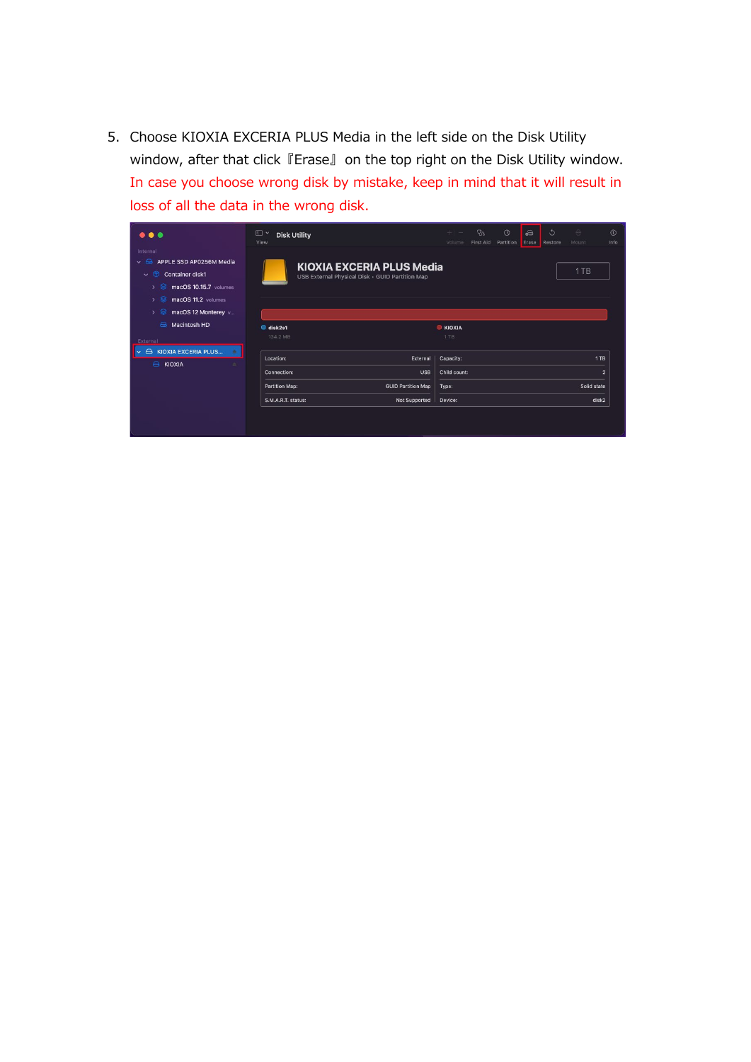5. Choose KIOXIA EXCERIA PLUS Media in the left side on the Disk Utility window, after that click 『Erase』 on the top right on the Disk Utility window. In case you choose wrong disk by mistake, keep in mind that it will result in loss of all the data in the wrong disk.

| $\bullet\bullet\bullet$                                                                                                                                                                                   | 田<br>$\checkmark$<br><b>Disk Utility</b><br>View |                                                                                     | $+1 -$<br>Volume | $Q_{\alpha}$<br>First Aid | $\circledcirc$<br>Partition | ക<br>Erase | ొ<br>Restore | $\triangleq$<br>Mount | $\odot$<br>Info |
|-----------------------------------------------------------------------------------------------------------------------------------------------------------------------------------------------------------|--------------------------------------------------|-------------------------------------------------------------------------------------|------------------|---------------------------|-----------------------------|------------|--------------|-----------------------|-----------------|
| Internal<br>APPLE SSD AP0256M Media<br>$\vee$ $\ominus$<br>$\circledR$<br><b>Container disk1</b><br>$\checkmark$<br>∙<br>macOS 10.15.7 volumes<br>$\rightarrow$<br>macOS 11.2 volumes<br>$\left( \right)$ |                                                  | <b>KIOXIA EXCERIA PLUS Media</b><br>USB External Physical Disk · GUID Partition Map |                  |                           |                             |            |              | 1TB                   |                 |
| macOS 12 Monterey v<br>$\rightarrow$<br>Macintosh HD<br>ക                                                                                                                                                 | disk2s1                                          |                                                                                     | <b>E KIOXIA</b>  |                           |                             |            |              |                       |                 |
| External                                                                                                                                                                                                  | 134.2 MB                                         |                                                                                     | 1TB              |                           |                             |            |              |                       |                 |
| <b>KIOXIA EXCERIA PLUS</b><br>$\triangle$<br>$\vee$<br><b>E KIOXIA</b><br>٠                                                                                                                               | Location:                                        | External                                                                            | Capacity:        |                           |                             |            |              |                       | 1TB             |
|                                                                                                                                                                                                           | Connection:                                      | <b>USB</b>                                                                          | Child count:     |                           |                             |            |              |                       | $\overline{2}$  |
|                                                                                                                                                                                                           | Partition Map:                                   | <b>GUID Partition Map</b>                                                           | Type:            |                           |                             |            |              | Solid state           |                 |
|                                                                                                                                                                                                           | S.M.A.R.T. status:                               | Not Supported                                                                       | Device:          |                           |                             |            |              | disk2                 |                 |
|                                                                                                                                                                                                           |                                                  |                                                                                     |                  |                           |                             |            |              |                       |                 |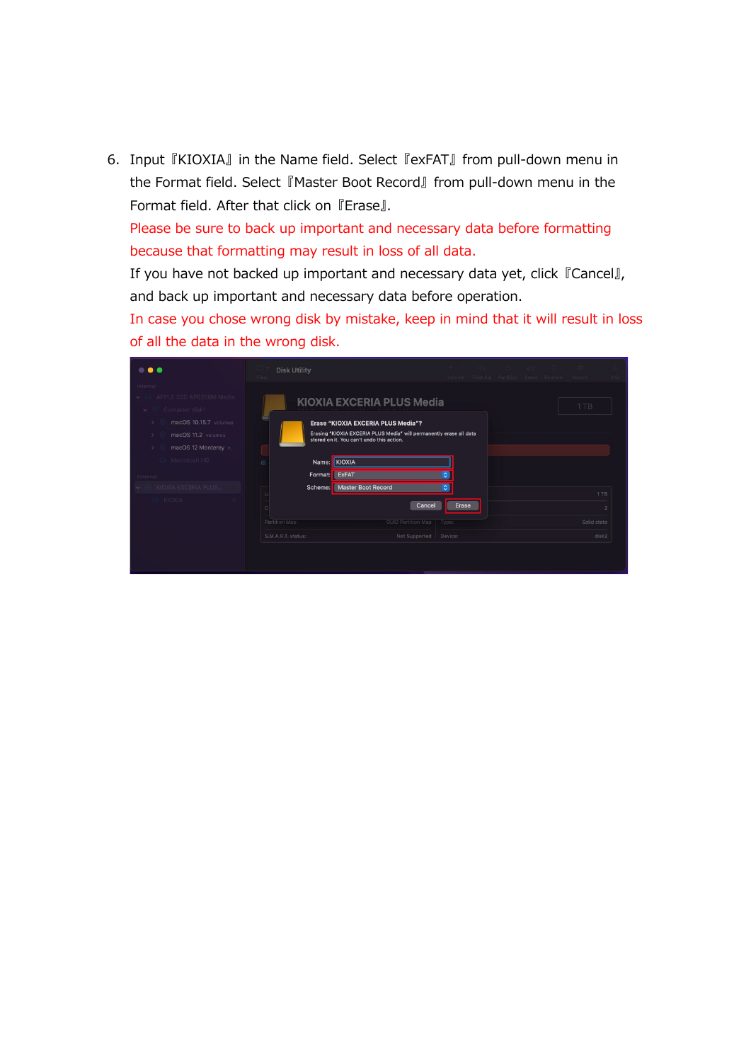6. Input 『KIOXIA』 in the Name field. Select 『exFAT』 from pull-down menu in the Format field. Select 『Master Boot Record』 from pull-down menu in the Format field. After that click on 『Erase』.

Please be sure to back up important and necessary data before formatting because that formatting may result in loss of all data.

If you have not backed up important and necessary data yet, click 『Cancel』, and back up important and necessary data before operation.

In case you chose wrong disk by mistake, keep in mind that it will result in loss of all the data in the wrong disk.

| <br>Internal                                                                                                   | <b>Disk Utility</b><br>View.                                                                                     |                               | the Way Collection of Seconds<br>Volume First-Aid Partition Erase Restore Mount | info                         |
|----------------------------------------------------------------------------------------------------------------|------------------------------------------------------------------------------------------------------------------|-------------------------------|---------------------------------------------------------------------------------|------------------------------|
| $\sim$ $\equiv$ APPLE SSD AP0256M Media<br>Container disk1<br>$\vee$<br>macOS 10.15.7 volumes<br>$\rightarrow$ | KIOXIA EXCERIA PLUS Media<br>Erase "KIOXIA EXCERIA PLUS Media"?                                                  |                               |                                                                                 | 1 TB                         |
| macOS 11.2 volumes<br>5<br>macOS 12 Monterey v<br>$\rightarrow$<br>Macintosh HD                                | Erasing "KIOXIA EXCERIA PLUS Media" will permanently erase all data<br>stored on it. You can't undo this action. |                               |                                                                                 |                              |
| External<br>KIOXIA EXCERIA PLUS<br>v.                                                                          | KIOXIA<br>Name:<br>Format: ExFAT<br><b>Master Boot Record</b><br>Scheme:                                         | $\circ$<br>$\hat{\mathbf{c}}$ |                                                                                 | 1TB                          |
| KIOXIA                                                                                                         | Cancel<br>Partition Map:<br><b>GUID Partition Map</b>                                                            | Erase<br>Type:                |                                                                                 | $\mathcal{D}$<br>Solid state |
|                                                                                                                | Not Supported<br>S.M.A.R.T. status:                                                                              | Device:                       |                                                                                 | disk2                        |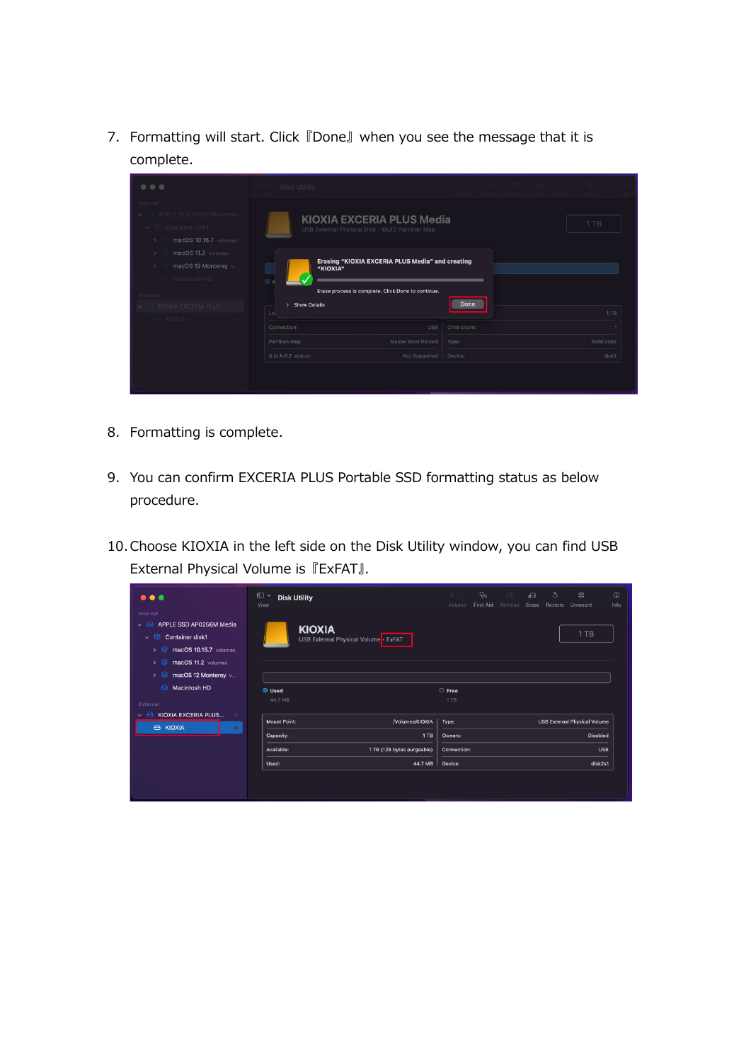7. Formatting will start. Click 『Done』 when you see the message that it is complete.

| $\begin{array}{ccc} \circ & \circ & \circ \end{array}$                                                            | $\mathbb{L}$ × Disk Utility                                                                                                                 |                             | Volume First Aid Partition Erako Restore Mount |  |             |
|-------------------------------------------------------------------------------------------------------------------|---------------------------------------------------------------------------------------------------------------------------------------------|-----------------------------|------------------------------------------------|--|-------------|
| Internal<br>APPLE SSD AP0256M Media<br>v & Container disk1<br>macOS 10.15.7 volumes<br>-5                         | KIOXIA EXCERIA PLUS Media<br>USB External Physical Disk · GUID Partition Map                                                                |                             |                                                |  | 1TB         |
| macOS 11.2 volumes<br>-5<br>macOS 12 Monterey v<br>3<br>Macintosh HD<br>External<br>$\sim$<br>KIOXIA EXCERIA PLUS | Erasing "KIOXIA EXCERIA PLUS Media" and creating<br>"KIOXIA"<br>Erase process is complete. Click Done to continue.<br>> Show Details<br>Lol |                             | 1TB                                            |  |             |
| KIOXIA                                                                                                            | Connection:                                                                                                                                 | <b>USB</b><br>Child count:  |                                                |  |             |
|                                                                                                                   | Partition Map:                                                                                                                              | Master Boot Record<br>Type: |                                                |  | Solid state |
|                                                                                                                   | S.M.A.R.T. status:                                                                                                                          | Not Supported<br>Device:    |                                                |  | disk2       |
|                                                                                                                   |                                                                                                                                             |                             |                                                |  |             |

- 8. Formatting is complete.
- 9. You can confirm EXCERIA PLUS Portable SSD formatting status as below procedure.
- 10.Choose KIOXIA in the left side on the Disk Utility window, you can find USB External Physical Volume is 『ExFAT』.

| .                                                                                                                                                                                             | $\square$<br><b>Disk Utility</b><br>View              |                                    | $+$ $-$<br>Volume      | $\heartsuit_0$<br>First Aid | $\circledcirc$<br>Partition | $\ominus$<br>Erase | J<br>Restore | $\Leftrightarrow$<br>Unmount        | $\odot$<br>Info |
|-----------------------------------------------------------------------------------------------------------------------------------------------------------------------------------------------|-------------------------------------------------------|------------------------------------|------------------------|-----------------------------|-----------------------------|--------------------|--------------|-------------------------------------|-----------------|
| Internal<br>APPLE SSD AP0256M Media<br>- Andr<br>$\checkmark$<br>$\vee$ $\circ$<br>Container disk1<br>$\rightarrow$ $\otimes$<br>macOS 10.15.7 volumes<br>$\rightarrow$<br>macOS 11.2 volumes | <b>KIOXIA</b><br>USB External Physical Volume · ExFAT |                                    |                        |                             |                             |                    |              | 1TB                                 |                 |
| €<br>macOS 12 Monterey v<br>$\rightarrow$<br>Macintosh HD<br>A                                                                                                                                | <b>Used</b><br>44.7 MB                                |                                    | ○ Free<br>1TB          |                             |                             |                    |              |                                     |                 |
| External<br>$\curvearrowright$<br>KIOXIA EXCERIA PLUS<br>$\checkmark$<br><b>B KIOXIA</b><br>査                                                                                                 | <b>Mount Point:</b>                                   | /Volumes/KIOXIA                    | Type:                  |                             |                             |                    |              | <b>USB External Physical Volume</b> |                 |
|                                                                                                                                                                                               | Capacity:<br>Available:                               | 1 TB<br>1 TB (128 bytes purgeable) | Owners:<br>Connection: |                             |                             |                    |              | <b>Disabled</b>                     | USB             |
|                                                                                                                                                                                               | Used:                                                 | 44.7 MB                            | Device:                |                             |                             |                    |              | disk2s1                             |                 |